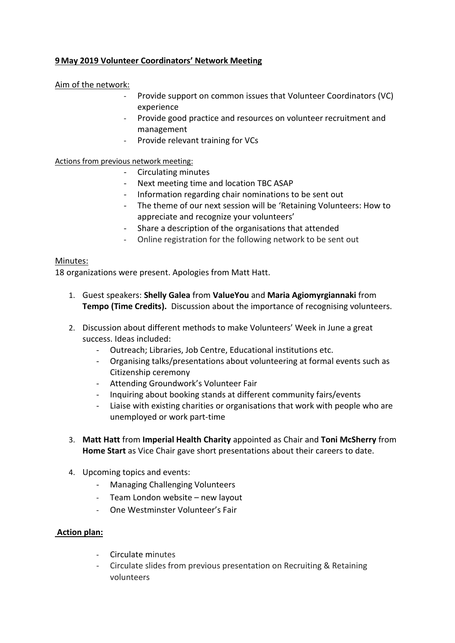## **9 May 2019 Volunteer Coordinators' Network Meeting**

## Aim of the network:

- Provide support on common issues that Volunteer Coordinators (VC) experience
- Provide good practice and resources on volunteer recruitment and management
- Provide relevant training for VCs

Actions from previous network meeting:

- Circulating minutes
- Next meeting time and location TBC ASAP
- Information regarding chair nominations to be sent out
- The theme of our next session will be 'Retaining Volunteers: How to appreciate and recognize your volunteers'
- Share a description of the organisations that attended
- Online registration for the following network to be sent out

## Minutes:

18 organizations were present. Apologies from Matt Hatt.

- 1. Guest speakers: **Shelly Galea** from **ValueYou** and **Maria Agiomyrgiannaki** from **Tempo (Time Credits).** Discussion about the importance of recognising volunteers.
- 2. Discussion about different methods to make Volunteers' Week in June a great success. Ideas included:
	- Outreach; Libraries, Job Centre, Educational institutions etc.
	- Organising talks/presentations about volunteering at formal events such as Citizenship ceremony
	- Attending Groundwork's Volunteer Fair
	- Inquiring about booking stands at different community fairs/events
	- Liaise with existing charities or organisations that work with people who are unemployed or work part-time
- 3. **Matt Hatt** from **Imperial Health Charity** appointed as Chair and **Toni McSherry** from **Home Start** as Vice Chair gave short presentations about their careers to date.
- 4. Upcoming topics and events:
	- Managing Challenging Volunteers
	- Team London website new layout
	- One Westminster Volunteer's Fair

## **Action plan:**

- Circulate minutes
- Circulate slides from previous presentation on Recruiting & Retaining volunteers